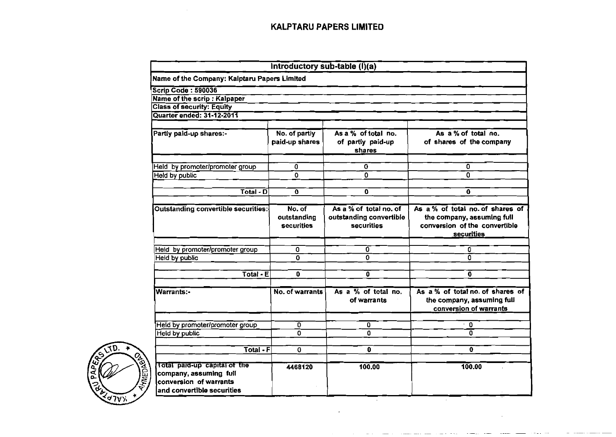| Name of the Company: Kalptaru Papers Limited<br><b>Scrip Code: 590036</b><br>Name of the scrip : Kalpaper<br><b>Class of security: Equity</b><br>Quarter ended: 31-12-2011<br>As a % of total no.<br>No. of partly<br>As a % of total no.<br>Partly paid-up shares:-<br>paid-up shares<br>of partly paid-up<br>of shares of the company<br>shares<br>0<br>0<br>0<br>Held by promoter/promoter group<br>$\overline{0}$<br>0<br>$\mathbf{0}$<br>Held by public<br>$Total - D$<br>$\mathbf 0$<br>$\mathbf{0}$<br>0<br>As a % of total no. of shares of<br><b>Outstanding convertible securities:</b><br>No. of<br>As a % of total no. of<br>outstanding<br>outstanding convertible<br>the company, assuming full<br>conversion of the convertible<br><b>securities</b><br><b>securities</b><br><b>securities</b><br>0<br>Held by promoter/promoter group<br>0<br>0<br>0<br>0<br>0<br>Heid by public<br>$\overline{\text{Total - E}}$<br>0<br>$\overline{\mathbf{0}}$<br>0<br>As $a\%$ of total no.<br>As a % of total no. of shares of<br>No. of warrants<br><b>Warrants:-</b><br>the company, assuming full<br>of warrants<br>conversion of warrants |
|----------------------------------------------------------------------------------------------------------------------------------------------------------------------------------------------------------------------------------------------------------------------------------------------------------------------------------------------------------------------------------------------------------------------------------------------------------------------------------------------------------------------------------------------------------------------------------------------------------------------------------------------------------------------------------------------------------------------------------------------------------------------------------------------------------------------------------------------------------------------------------------------------------------------------------------------------------------------------------------------------------------------------------------------------------------------------------------------------------------------------------------------------|
|                                                                                                                                                                                                                                                                                                                                                                                                                                                                                                                                                                                                                                                                                                                                                                                                                                                                                                                                                                                                                                                                                                                                                    |
|                                                                                                                                                                                                                                                                                                                                                                                                                                                                                                                                                                                                                                                                                                                                                                                                                                                                                                                                                                                                                                                                                                                                                    |
|                                                                                                                                                                                                                                                                                                                                                                                                                                                                                                                                                                                                                                                                                                                                                                                                                                                                                                                                                                                                                                                                                                                                                    |
|                                                                                                                                                                                                                                                                                                                                                                                                                                                                                                                                                                                                                                                                                                                                                                                                                                                                                                                                                                                                                                                                                                                                                    |
|                                                                                                                                                                                                                                                                                                                                                                                                                                                                                                                                                                                                                                                                                                                                                                                                                                                                                                                                                                                                                                                                                                                                                    |
|                                                                                                                                                                                                                                                                                                                                                                                                                                                                                                                                                                                                                                                                                                                                                                                                                                                                                                                                                                                                                                                                                                                                                    |
|                                                                                                                                                                                                                                                                                                                                                                                                                                                                                                                                                                                                                                                                                                                                                                                                                                                                                                                                                                                                                                                                                                                                                    |
|                                                                                                                                                                                                                                                                                                                                                                                                                                                                                                                                                                                                                                                                                                                                                                                                                                                                                                                                                                                                                                                                                                                                                    |
|                                                                                                                                                                                                                                                                                                                                                                                                                                                                                                                                                                                                                                                                                                                                                                                                                                                                                                                                                                                                                                                                                                                                                    |
|                                                                                                                                                                                                                                                                                                                                                                                                                                                                                                                                                                                                                                                                                                                                                                                                                                                                                                                                                                                                                                                                                                                                                    |
|                                                                                                                                                                                                                                                                                                                                                                                                                                                                                                                                                                                                                                                                                                                                                                                                                                                                                                                                                                                                                                                                                                                                                    |
|                                                                                                                                                                                                                                                                                                                                                                                                                                                                                                                                                                                                                                                                                                                                                                                                                                                                                                                                                                                                                                                                                                                                                    |
|                                                                                                                                                                                                                                                                                                                                                                                                                                                                                                                                                                                                                                                                                                                                                                                                                                                                                                                                                                                                                                                                                                                                                    |
|                                                                                                                                                                                                                                                                                                                                                                                                                                                                                                                                                                                                                                                                                                                                                                                                                                                                                                                                                                                                                                                                                                                                                    |
|                                                                                                                                                                                                                                                                                                                                                                                                                                                                                                                                                                                                                                                                                                                                                                                                                                                                                                                                                                                                                                                                                                                                                    |
|                                                                                                                                                                                                                                                                                                                                                                                                                                                                                                                                                                                                                                                                                                                                                                                                                                                                                                                                                                                                                                                                                                                                                    |
| $\mathbf 0$<br>0                                                                                                                                                                                                                                                                                                                                                                                                                                                                                                                                                                                                                                                                                                                                                                                                                                                                                                                                                                                                                                                                                                                                   |
| Held by promoter/promoter group<br>0<br>$\overline{\mathfrak{o}}$<br>0<br>0<br><b>Held by public</b>                                                                                                                                                                                                                                                                                                                                                                                                                                                                                                                                                                                                                                                                                                                                                                                                                                                                                                                                                                                                                                               |
|                                                                                                                                                                                                                                                                                                                                                                                                                                                                                                                                                                                                                                                                                                                                                                                                                                                                                                                                                                                                                                                                                                                                                    |
| $\overline{\text{Total - F}}$<br>$\mathbf 0$<br>0<br>0<br><b>RANED AGE</b>                                                                                                                                                                                                                                                                                                                                                                                                                                                                                                                                                                                                                                                                                                                                                                                                                                                                                                                                                                                                                                                                         |



 $\mathcal{L}_{\mathcal{L}}$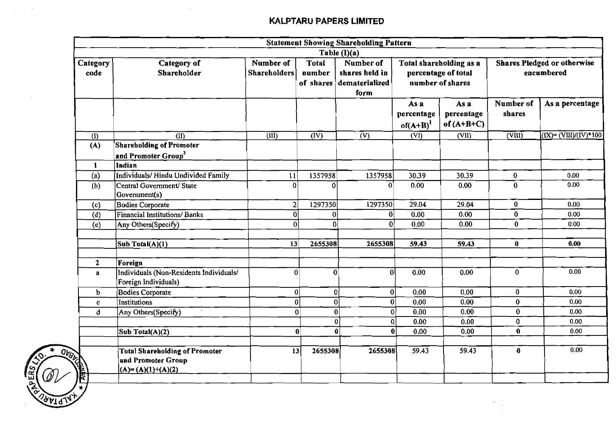$\sim 10^7$ 

 $\sim 10^{-1}$ 

**CALLADOR** 

Ωı

|                  |                                                                                    |                                  |                                                                                                                                                                                                                        | <b>Statement Showing Shareholding Pattern</b> |                                     |                                    |                            |                                                  |
|------------------|------------------------------------------------------------------------------------|----------------------------------|------------------------------------------------------------------------------------------------------------------------------------------------------------------------------------------------------------------------|-----------------------------------------------|-------------------------------------|------------------------------------|----------------------------|--------------------------------------------------|
|                  |                                                                                    |                                  |                                                                                                                                                                                                                        | Table $(I)(a)$                                |                                     |                                    |                            |                                                  |
| Category<br>code | Category of<br>Shareholder                                                         | Number of<br><b>Shareholders</b> | <b>Total</b><br>Number of<br><b>Shares Pledged or otherwise</b><br>Total shareholding as a<br>number<br>shares held in<br>percentage of total<br>encumbered<br>number of shares<br>dematerialized<br>of shares<br>form |                                               |                                     |                                    |                            |                                                  |
|                  |                                                                                    |                                  |                                                                                                                                                                                                                        |                                               | As a<br>percentage<br>$of(A+B)^{1}$ | As a<br>percentage<br>of $(A+B+C)$ | Number of<br>shares        | As a percentage                                  |
| (I)              | $\overline{\text{4D}}$                                                             | (III)                            | $\overline{\text{(IV)}}$                                                                                                                                                                                               | $\overline{V}$                                | $(\overline{VI})$                   | (VII)                              | $\overline{\text{(VIII)}}$ | $(IX) = (\overline{VIII})/(\overline{IV})$ * 100 |
| (A)              | <b>Shareholding of Promoter</b><br>and Promoter Group <sup>2</sup>                 |                                  |                                                                                                                                                                                                                        |                                               |                                     |                                    |                            |                                                  |
| $\mathbf{1}$     | Indian<br>Individuals/Hindu Undivided Family                                       |                                  | 1357958                                                                                                                                                                                                                | 1357958                                       | 30.39                               | 30.39                              | $\bf{0}$                   | 0.00                                             |
| (a)<br>(b)       | Central Government/ State<br>Government(s)                                         | $\mathbf{1}$<br>0                | $\Omega$                                                                                                                                                                                                               | $\mathbf{0}$                                  | 0.00                                | 0.00                               | $\mathbf{0}$               | 0.00                                             |
| (c)              | <b>Bodies Corporate</b>                                                            | 2                                | 1297350                                                                                                                                                                                                                | 1297350                                       | 29.04                               | 29.04                              | $\mathbf{0}$               | 0,00                                             |
| $\overline{d}$   | <b>Financial Institutions/Banks</b>                                                | 0                                | 0                                                                                                                                                                                                                      | 0                                             | 0.00                                | 0.00                               | $\bf{0}$                   | 0.00                                             |
| (e)              | Any Others(Specify)                                                                | $\overline{0}$                   | $\mathbf{0}$                                                                                                                                                                                                           | $\mathbf{0}$                                  | 0.00                                | 0.00                               | $\bf{0}$                   | 0.00                                             |
|                  | Sub Total( $A$ )(1)                                                                | 13                               | 2655308                                                                                                                                                                                                                | 2655308                                       | 59.43                               | 59.43                              | $\mathbf 0$                | 0.00                                             |
| $\mathbf{2}$     | Foreign                                                                            |                                  |                                                                                                                                                                                                                        |                                               |                                     |                                    |                            |                                                  |
| a                | Individuals (Non-Residents Individuals/<br>Foreign Individuals)                    | $\Omega$                         | $\mathbf{0}^{\mathsf{T}}$                                                                                                                                                                                              | $\mathbf{0}$                                  | 0.00                                | 0.00                               | $\mathbf{0}$               | 0.00                                             |
| b                | Bodies Corporate                                                                   | $\mathbf{0}$                     |                                                                                                                                                                                                                        | $\mathbf{0}$                                  | 0 <br>0.00                          | 0.00                               | $\bf{0}$                   | 0.00                                             |
| $\mathbf{c}$     | Institutions                                                                       |                                  | $\mathbf{0}$                                                                                                                                                                                                           | $\bf{0}$                                      | 0 <br>0.00                          | 0.00                               | $\bf{0}$                   | 0.00                                             |
| đ.               | Any Others(Specify)                                                                |                                  | $\mathbf{0}$                                                                                                                                                                                                           | $\bf{0}$                                      | 0 <br>0.00                          | 0.00                               | $\bf{0}$                   | 0.00                                             |
|                  |                                                                                    |                                  |                                                                                                                                                                                                                        | $\mathbf{0}$                                  | $\overline{\mathbf{0}}$<br>0.00     | 0.00                               | $\mathbf{0}$               | 0.00                                             |
|                  | Sub Total(A)(2)                                                                    |                                  | $\bf{0}$                                                                                                                                                                                                               | $\vert 0 \vert$                               | $\bf{0}$<br>0.00                    | 0.00                               | $\mathbf 0$                | 0.00                                             |
| <b>READERS</b>   | <b>Total Shareholding of Promoter</b><br>and Promoter Group<br>$(A)=(A)(1)+(A)(2)$ | 13                               | 2655308                                                                                                                                                                                                                | 2655308                                       | 59.43                               | 59.43                              | $\bf{0}$                   | 0.00                                             |
|                  |                                                                                    |                                  |                                                                                                                                                                                                                        |                                               |                                     |                                    |                            |                                                  |

 $\frac{1}{2}$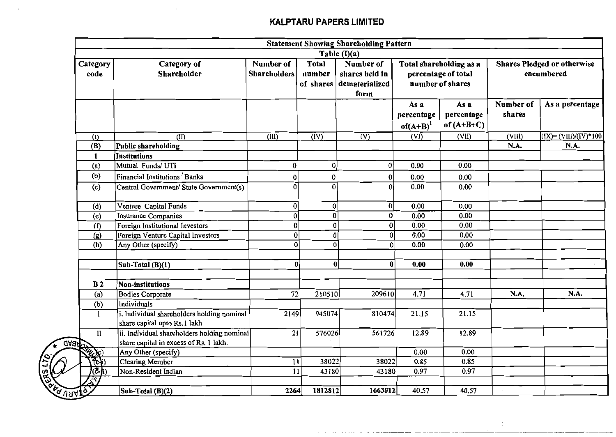$\mathcal{A}^{\mathcal{A}}$ 

 $\bar{z}$ 

|                                    |                                                                                       |                                  |                                     | <b>Statement Showing Shareholding Pattern</b>                         |                                     |                                                                    |                     |                                                  |
|------------------------------------|---------------------------------------------------------------------------------------|----------------------------------|-------------------------------------|-----------------------------------------------------------------------|-------------------------------------|--------------------------------------------------------------------|---------------------|--------------------------------------------------|
| Category<br>code                   | Category of<br>Shareholder                                                            | Number of<br><b>Shareholders</b> | <b>Total</b><br>number<br>of shares | Table (I)(a)<br>Number of<br>shares held in<br>dematerialized<br>form |                                     | Total shareholding as a<br>percentage of total<br>number of shares |                     | <b>Shares Pledged or otherwise</b><br>encumbered |
|                                    |                                                                                       |                                  |                                     |                                                                       | As a<br>percentage<br>$of(A+B)^{1}$ | As a<br>percentage<br>of $(A+B+C)$                                 | Number of<br>shares | As a percentage                                  |
| (I)                                | $\overline{(\text{II})}$                                                              | $\overline{(\text{III})}$        | $\overline{(\text{IV})}$            | (V)                                                                   | $\overline{\text{(VI)}}$            | (VII)                                                              | (VIII)              | $(IX) = (VIII)/(IV)^*100$                        |
| (B)                                | Public shareholding                                                                   |                                  |                                     |                                                                       |                                     |                                                                    | N.A.                | N.A.                                             |
| $\mathbf{1}$                       | <b>Institutions</b>                                                                   |                                  |                                     |                                                                       |                                     |                                                                    |                     |                                                  |
| (a)                                | Mutual Funds/ UTI                                                                     | $\bf{0}$                         | $\bf{0}$                            | 0                                                                     | 0.00                                | 0.00                                                               |                     |                                                  |
| (b)                                | Financial Institutions Banks                                                          | 0                                | 0                                   | $\bf{0}$                                                              | 0.00                                | 0.00                                                               |                     |                                                  |
| (c)                                | Central Government/ State Government(s)                                               | 0                                | $\overline{0}$                      | $\bf{0}$                                                              | 0.00                                | 0.00                                                               |                     |                                                  |
| (d)                                | Venture Capital Funds                                                                 | $\boldsymbol{0}$                 | $\boldsymbol{0}$                    | 0                                                                     | 0.00                                | 0.00                                                               |                     |                                                  |
| (e)                                | <b>Insurance Companies</b>                                                            | $\mathbf{0}$                     | 0                                   | 0                                                                     | 0.00                                | 0.00                                                               |                     |                                                  |
| $\overline{f}$                     | Foreign Institutional Investors                                                       | $\bf{0}$                         | $\bf{0}$                            | 0                                                                     | 0.00                                | 0.00                                                               |                     |                                                  |
| (g)                                | Foreign Venture Capital Investors                                                     | $\bf{0}$                         | $\mathbf{0}$                        | 0                                                                     | 0.00                                | 0.00                                                               |                     |                                                  |
| (h)                                | Any Other (specify)                                                                   | $\overline{\mathbf{0}}$          |                                     | $\overline{0}$<br> 0                                                  | 0.00                                | 0.00                                                               |                     |                                                  |
|                                    | Sub-Total (B)(1)                                                                      | $\bf{0}$                         |                                     | $\mathbf{0}$<br>0                                                     | 0.00                                | 0.00                                                               |                     |                                                  |
| B <sub>2</sub>                     | <b>Non-institutions</b>                                                               |                                  |                                     |                                                                       |                                     |                                                                    |                     |                                                  |
| (a)                                | <b>Bodies Corporate</b>                                                               | 72                               | 210510                              | 209610                                                                | 4.71                                | 4.71                                                               | N.A.                | N.A.                                             |
| (b)                                | Individuals                                                                           |                                  |                                     |                                                                       |                                     |                                                                    |                     |                                                  |
| 1                                  | i. Individual shareholders holding nominal<br>share capital upto Rs.1 lakh            | 2149                             | 945074                              | 810474                                                                | 21.15                               | 21.15                                                              |                     |                                                  |
| 11<br><b>GABAD</b>                 | ii. Individual shareholders holding nominal<br>share capital in excess of Rs. 1 lakh. | 21                               | 576026                              | 561726                                                                | 12.89                               | 12.89                                                              |                     |                                                  |
|                                    | Any Other (specify)                                                                   |                                  |                                     |                                                                       | 0.00                                | 0.00                                                               |                     |                                                  |
|                                    | <b>Clearing Member</b>                                                                | 11                               | 38022                               | 38022                                                                 | 0.85                                | 0.85                                                               |                     |                                                  |
| (Č-∤i                              | Non-Resident Indian                                                                   | 11                               | 43180                               | 43180                                                                 | 0.97                                | 0.97                                                               |                     |                                                  |
| $\overline{\mathbf{F}}$<br>্ৰ ৩স্ন | Sub-Total (B)(2)                                                                      | 2264                             | 1812812                             | 1663012                                                               | 40.57                               | 40.57                                                              |                     |                                                  |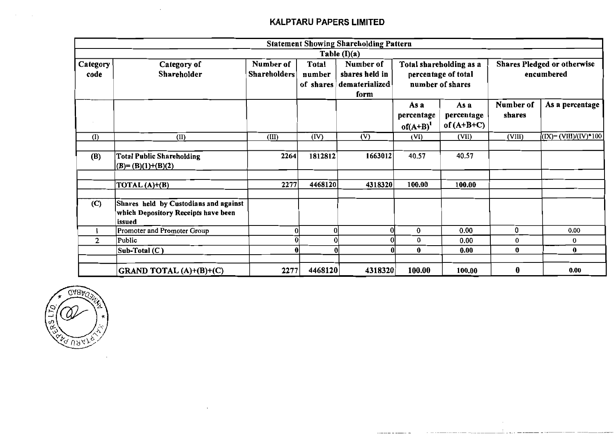|                  |                                                                                        |                           |                              | <b>Statement Showing Shareholding Pattern</b>         |                                                                    |                                    |                     |                                                  |
|------------------|----------------------------------------------------------------------------------------|---------------------------|------------------------------|-------------------------------------------------------|--------------------------------------------------------------------|------------------------------------|---------------------|--------------------------------------------------|
|                  |                                                                                        |                           |                              | Table $(I)(a)$                                        |                                                                    |                                    |                     |                                                  |
| Category<br>code | Category of<br>Shareholder                                                             | Number of<br>Shareholders | Total<br>number<br>of shares | Number of<br>shares held in<br>dematerialized<br>form | Total shareholding as a<br>percentage of total<br>number of shares |                                    |                     | <b>Shares Pledged or otherwise</b><br>encumbered |
|                  |                                                                                        |                           |                              |                                                       | As a<br>percentage<br>$of(A+B)^{1}$                                | As a<br>percentage<br>of $(A+B+C)$ | Number of<br>shares | As a percentage                                  |
| (I)              | (II)                                                                                   | (III)                     | (IV)                         | (V)                                                   | (VI)                                                               | (VII)                              | (VIII)              | (IX)= (VIII)/(IV)*100                            |
| (B)              | <b>Total Public Shareholding</b><br>$(B)=(B)(1)+(B)(2)$                                | 2264                      | 1812812                      | 1663012                                               | 40.57                                                              | 40.57                              |                     |                                                  |
|                  | TOTAL $(A)+(B)$                                                                        | 2277                      | 4468120                      | 4318320                                               | 100.00                                                             | 100.00                             |                     |                                                  |
| (C)              | Shares held by Custodians and against<br>which Depository Receipts have been<br>issued |                           |                              |                                                       |                                                                    |                                    |                     |                                                  |
|                  | Promoter and Promoter Group                                                            |                           | O                            |                                                       | 0                                                                  | 0.00                               | 0                   | 0.00                                             |
| $\mathbf{2}$     | Public                                                                                 |                           |                              |                                                       | 0                                                                  | 0.00                               | $\bf{0}$            | 0                                                |
|                  | Sub-Total (C)                                                                          |                           | 0l                           | A                                                     | $\bf{0}$                                                           | 0.00                               | 0                   | $\bf{0}$                                         |
|                  | GRAND TOTAL (A)+(B)+(C)                                                                | 2277                      | 4468120                      | 4318320                                               | 100.00                                                             | 100.00                             | $\bf{0}$            | 0.00                                             |



 $\mathcal{L}_{\mathbf{z}}$ 

 $\cdot$ 

 $\sim 10^7$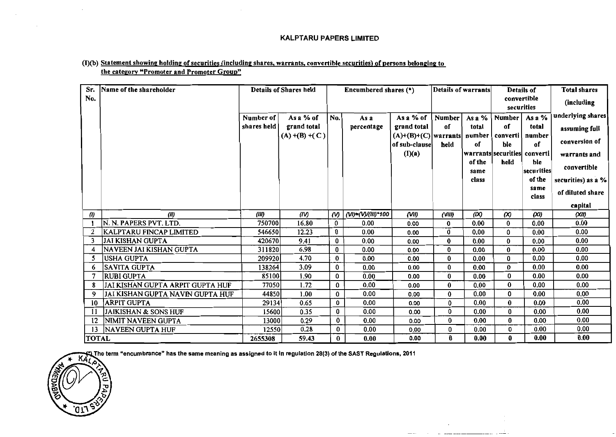#### (I)(b) Statement showing holding of securities (including shares, warrants, convertible securities) of persons belonging to the category "Promoter and Promoter Group"

| Sr.               | Name of the shareholder          |             | Details of Shares held |             | Encumbered shares (*) |                                                | Details of warrants |                           | Details of                   |              | <b>Total shares</b> |
|-------------------|----------------------------------|-------------|------------------------|-------------|-----------------------|------------------------------------------------|---------------------|---------------------------|------------------------------|--------------|---------------------|
| No.               |                                  |             |                        |             |                       |                                                |                     | convertible<br>securities |                              | (including   |                     |
|                   |                                  |             |                        |             |                       |                                                |                     |                           |                              |              | underlying shares   |
|                   |                                  | Number of   | As a % of              | No.         | As a                  | As a % of                                      | <b>Number</b>       | As a $%$                  | Number                       | As a $%$     |                     |
|                   |                                  | shares held | grand total            |             | percentage            | grand total                                    | of                  | total                     | 0ſ                           | total        | assuming full       |
|                   |                                  |             | $(A) + (B) + (C)$      |             |                       | $(A)+(B)+(C)$ warrants number<br>of sub-clause | held                | of                        | converti<br>ble              | number<br>of | conversion of       |
|                   |                                  |             |                        |             |                       | (I)(a)                                         |                     |                           | warrants securities converti |              | warrants and        |
|                   |                                  |             |                        |             |                       |                                                |                     | of the                    | held                         | ble          |                     |
|                   |                                  |             |                        |             |                       |                                                |                     | same                      |                              | securities   | convertible         |
|                   |                                  |             |                        |             |                       |                                                |                     | class                     |                              | of the       | securities) as a %  |
|                   |                                  |             |                        |             |                       |                                                |                     |                           |                              | same         | of diluted share    |
|                   |                                  |             |                        |             |                       |                                                |                     |                           |                              | class        | capital             |
| (1)               | (11)                             | (III)       | (IV)                   | $\omega$    | (VI)=(V)/(III)*100    | (VII)                                          | $($ VIII)           | (IX)                      | $\infty$                     | (XI)         | (XII)               |
|                   | N. N. PAPERS PVT. LTD.           | 750700      | 16.80                  | 0           | 0.00                  | 0.00                                           | 0                   | 0.00                      | $\bf{0}$                     | 0.00         | 0.00                |
| $\overline{2}$    | KALPTARU FINCAP LIMITED          | 546650      | 12.23                  | 0           | 0.00                  | 0.00                                           | 0                   | 0.00                      | $\mathbf{0}$                 | 0.00         | 0.00                |
|                   | <b>JAI KISHAN GUPTA</b>          | 420670      | 9.41                   | 0           | 0.00                  | 0.00                                           | $\bf{0}$            | 0.00                      | 0                            | 0.00         | 0.00                |
|                   | NAVEEN JAI KISHAN GUPTA          | 311820      | 6.98                   | 0           | 0.00                  | 0.00                                           | $\bf{0}$            | 0.00                      | 0                            | 0.00         | 0.00                |
|                   | <b>USHA GUPTA</b>                | 209920      | 4.70                   | $\bf{0}$    | 0.00                  | 0.00                                           | 0                   | 0.00                      | 0                            | 0.00         | 0.00                |
| 6                 | <b>SAVITA GUPTA</b>              | 138264      | 3.09                   | $\bf{0}$    | 0.00                  | 0.00                                           | 0                   | 0.00                      | 0                            | 0.00         | 0.00                |
|                   | RUBI GUPTA                       | 85100       | 1.90                   | 0           | 0.00                  |                                                | $\bf{0}$            | 0.00                      | 0                            | 0.00         | 0.00                |
|                   | JAI KISHAN GUPTA ARPIT GUPTA HUF |             | 1.72                   |             | 0.00                  | 0.00                                           | $\bf{0}$            | 0.00                      | 0                            | 0.00         | 0.00                |
|                   |                                  | 77050       |                        | 0           |                       | 0.00                                           |                     |                           | 0                            |              | 0.00                |
| 9.                | JAI KISHAN GUPTA NAVIN GUPTA HUF | 44850       | 1.00                   | $\mathbf 0$ | 0.00                  | 0.00                                           | 0                   | 0.00                      |                              | 0.00         | 0.00                |
| 10                | <b>ARPIT GUPTA</b>               | 29134       | 0.65                   | $\bf{0}$    | 0.00                  | 0.00                                           | $\pmb{0}$           | 0.00                      | $\bf{0}$                     | 0.00         |                     |
| 11                | <b>JAIKISHAN &amp; SONS HUF</b>  | 15600       | 0.35                   | $\bf{0}$    | 0.00                  | 0.00                                           | $\mathbf 0$         | 0.00                      | $\mathbf{0}$                 | 0.00         | 0.00                |
| $12 \overline{ }$ | NIMIT NAVEEN GUPTA               | 13000       | 0.29                   | $\bf{0}$    | 0.00                  | 0.00                                           | $\bf{0}$            | 0.00                      | $\bf{0}$                     | 0.00         | 0.00                |
| 13                | <b>NAVEEN GUPTA HUF</b>          | 12550       | 0.28                   | 0           | 0.00                  | 0.00                                           | 0                   | 0.00                      | 0                            | 0.00         | 0.00                |
| <b>TOTAL</b>      |                                  | 2655308     | 59.43                  | $\bf{0}$    | 0.00                  | 0.00                                           | $\mathbf 0$         | 0.00                      | 0                            | 0.00         | 0.00                |

 $\sim$  $\mathcal{L}_{\text{max}}$  . The contract of the contract of the contract of the contract of the contract of the contract of the contract of the contract of the contract of the contract of the contract of the contract of the contract

 $-\cdots$ 

The term "encumbrance" has the same meaning as assigned to it in regulation 28(3) of the SAST Regulations, 2011)

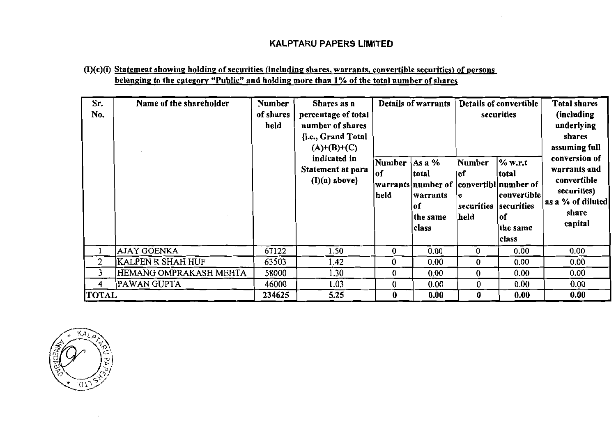# (I)(c)(i) Statement showing holding of securities (including shares, warrants, convertible securities) of persons belonging to the category "Public" and holding more than 1% of the total number of shares

| Sr.<br>No.     | Name of the shareholder | Number<br>of shares<br>held | Shares as a<br>percentage of total<br>number of shares<br>{i.e., Grand Total<br>$(A)+(B)+(C)$<br>indicated in<br>Statement at para<br>$(I)(a)$ above} | Number<br> of<br>held | Details of warrants<br>Asa%<br>total<br>warrants number of convertibl number of<br>warrants<br>lof<br>the same<br>class | Number<br> of<br>e<br>securities<br> held | Details of convertible<br>securities<br>% w.r.t<br>total<br>convertible<br>securities<br> of<br>the same<br>class | <b>Total shares</b><br>(including)<br>underlying<br>shares<br>assuming full<br>conversion of<br>warrants and<br>convertible<br>securities)<br>as a % of diluted<br>share<br>capital |
|----------------|-------------------------|-----------------------------|-------------------------------------------------------------------------------------------------------------------------------------------------------|-----------------------|-------------------------------------------------------------------------------------------------------------------------|-------------------------------------------|-------------------------------------------------------------------------------------------------------------------|-------------------------------------------------------------------------------------------------------------------------------------------------------------------------------------|
|                | <b>AJAY GOENKA</b>      | 67122                       | 1.50                                                                                                                                                  | 0                     | 0.00                                                                                                                    | $\bf{0}$                                  | 0.00                                                                                                              | 0.00                                                                                                                                                                                |
| $\overline{2}$ | KALPEN R SHAH HUF       | 63503                       | 1.42                                                                                                                                                  | $\bf{0}$              | 0.00                                                                                                                    | $\bf{0}$                                  | 0.00                                                                                                              | 0.00                                                                                                                                                                                |
| 3              | HEMANG OMPRAKASH MEHTA  | 58000                       | 1.30                                                                                                                                                  | 0                     | 0.00                                                                                                                    | $\bf{0}$                                  | 0.00                                                                                                              | 0.00                                                                                                                                                                                |
| 4              | PAWAN GUPTA             | 46000                       | 1.03                                                                                                                                                  | $\bf{0}$              | 0.00                                                                                                                    | $\bf{0}$                                  | 0.00                                                                                                              | 0.00                                                                                                                                                                                |
| <b>TOTAL</b>   |                         | 234625                      | 5.25                                                                                                                                                  | $\bf{0}$              | 0.00                                                                                                                    | $\bf{0}$                                  | 0.00                                                                                                              | 0.00                                                                                                                                                                                |

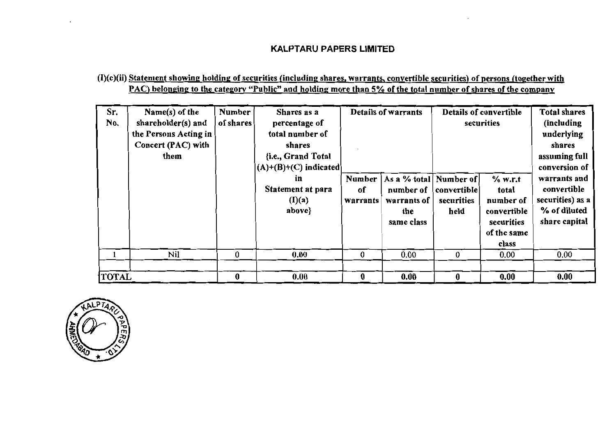# (I)(c)(ii) Statement showing holding of securities (including shares, warrants, convertible securities) of persons (together with PAC) belonging to the category "Public" and holding more than 5% of the total number of shares of the company

| Sr.<br>No.   | Name(s) of the<br>shareholder(s) and<br>the Persons Acting in<br>Concert (PAC) with<br>them | <b>Number</b><br>of shares | Shares as a<br>percentage of<br>total number of<br>shares<br>{i.e., Grand Total<br>$(A)+(B)+(C)$ indicated<br>in<br>Statement at para<br>(I)(a)<br>above} | Number<br>of<br>warrants | <b>Details of warrants</b><br>As a % total Number of<br>number of<br>warrants of<br>the<br>same class | convertible<br>securities<br>held | Details of convertible<br>securities<br>$%$ w.r.t<br>total<br>number of<br>convertible<br>securities<br>of the same<br>class | <b>Total shares</b><br>(including<br>underlying<br>shares<br>assuming full<br>conversion of<br>warrants and<br>convertible<br>securities) as a<br>% of diluted<br>share capital |
|--------------|---------------------------------------------------------------------------------------------|----------------------------|-----------------------------------------------------------------------------------------------------------------------------------------------------------|--------------------------|-------------------------------------------------------------------------------------------------------|-----------------------------------|------------------------------------------------------------------------------------------------------------------------------|---------------------------------------------------------------------------------------------------------------------------------------------------------------------------------|
|              | Nil                                                                                         | 0                          | 0.00                                                                                                                                                      | 0                        | 0.00                                                                                                  | $\bf{0}$                          | 0.00                                                                                                                         | 0.00                                                                                                                                                                            |
| <b>TOTAL</b> |                                                                                             | 0                          | 0.00                                                                                                                                                      | 0                        | 0.00                                                                                                  | 0                                 | 0.00                                                                                                                         | 0.00                                                                                                                                                                            |

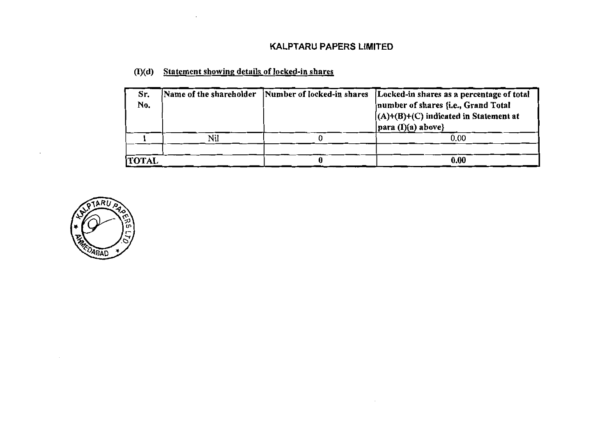| Sr.<br>No.   |     | Name of the shareholder Number of locked-in shares Locked-in shares as a percentage of total<br>number of shares {i.e., Grand Total<br>$(A)+(B)+(C)$ indicated in Statement at<br>$\vert$ para (I)(a) above} |
|--------------|-----|--------------------------------------------------------------------------------------------------------------------------------------------------------------------------------------------------------------|
|              | Nil | 0.00                                                                                                                                                                                                         |
|              |     |                                                                                                                                                                                                              |
| <b>TOTAL</b> |     | 0.00                                                                                                                                                                                                         |

(I)(d) Statement showing details of locked-in shares

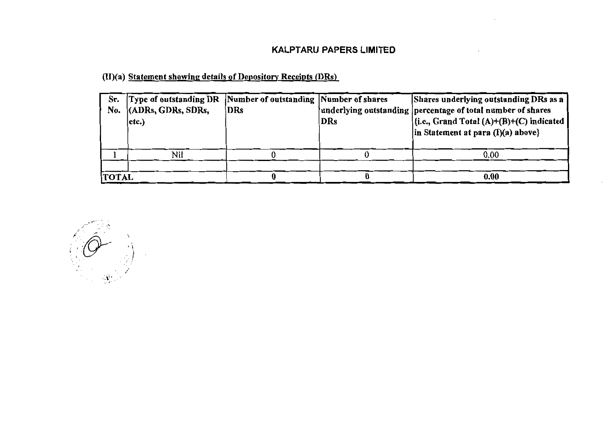(II)(a) Statement showing details of Depository Receipts (DRs)

| Sr.<br>No.   | Type of outstanding DR Number of outstanding Number of shares<br>$ $ (ADRs, GDRs, SDRs,<br>etc.) | DRs | DRs | Shares underlying outstanding DRs as a<br>underlying outstanding percentage of total number of shares<br>$\left  \{ i.e., Grand Total (A)+(B)+(C) indicated \} \right $<br>$\ln$ Statement at para (I)(a) above} |
|--------------|--------------------------------------------------------------------------------------------------|-----|-----|------------------------------------------------------------------------------------------------------------------------------------------------------------------------------------------------------------------|
|              | Nil                                                                                              |     |     | 0.00                                                                                                                                                                                                             |
| <b>TOTAL</b> |                                                                                                  |     |     | 0.00                                                                                                                                                                                                             |